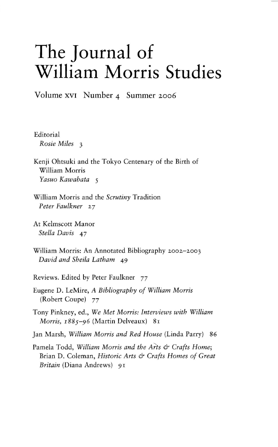## **The Journal of William Morris Studies**

Volume XVI Number 4 Summer 2006

Editorial *Rosie Miles* 3

Kenji Ohtsuki and the Tokyo Centenary of the Birth of William Morris *Yasuo Kawabata 5* 

William Morris and the *Scrutiny* Tradition *Peter Faulkner 27* 

At Kelmscott Manor *Stella Davis* 47

William Morris: An Annotated Bibliography 2002-2003 *David and Sheila Latham 49* 

Reviews. Edited by Peter Faulkner 77

Eugene D. LeMire, *A Bibliography of William Morris*  (Robert Coupe) 77

Tony Pinkney, ed., *We Met Morris: Interviews with William Morris, 1885-96* (Martin Delveaux) 81

Jan Marsh, *William Morris and Red House* (Linda Parry) 86

Pamela Todd, *William Morris and the Arts* & *Crafts Home;*  Brian D. Coleman, *Historic Arts & Crafts Homes of Great Britain* (Diana Andrews) 91